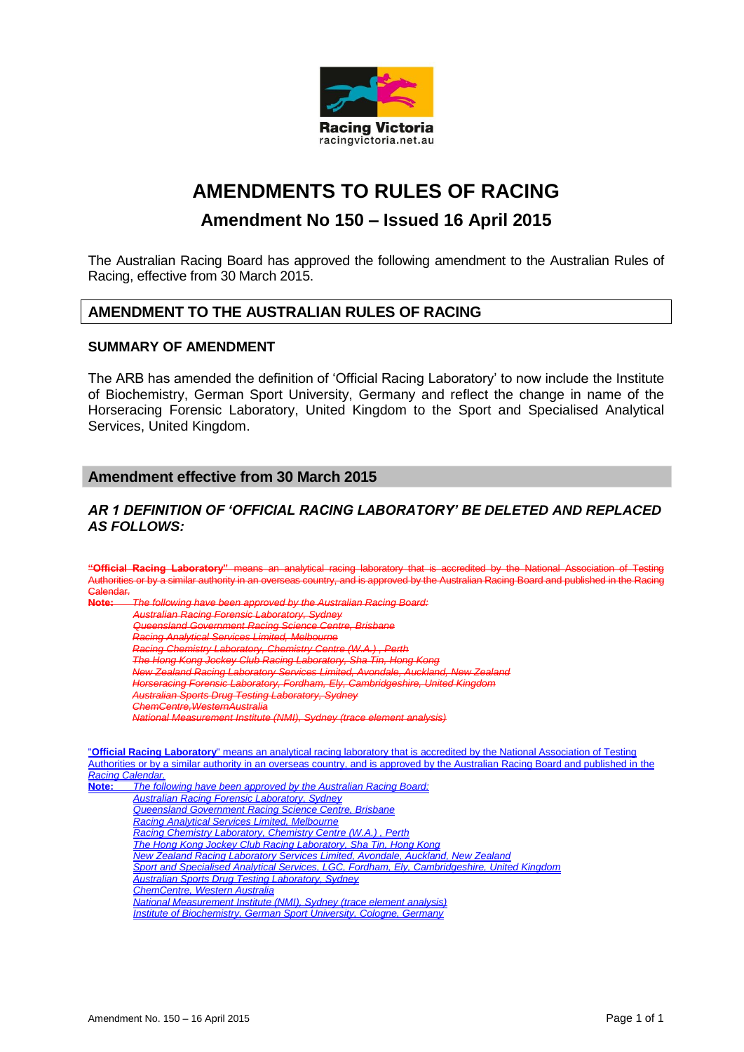

# **AMENDMENTS TO RULES OF RACING**

# **Amendment No 150 – Issued 16 April 2015**

The Australian Racing Board has approved the following amendment to the Australian Rules of Racing, effective from 30 March 2015.

# **AMENDMENT TO THE AUSTRALIAN RULES OF RACING**

# **SUMMARY OF AMENDMENT**

The ARB has amended the definition of 'Official Racing Laboratory' to now include the Institute of Biochemistry, German Sport University, Germany and reflect the change in name of the Horseracing Forensic Laboratory, United Kingdom to the Sport and Specialised Analytical Services, United Kingdom.

# **Amendment effective from 30 March 2015**

# *AR 1 DEFINITION OF 'OFFICIAL RACING LABORATORY' BE DELETED AND REPLACED AS FOLLOWS:*

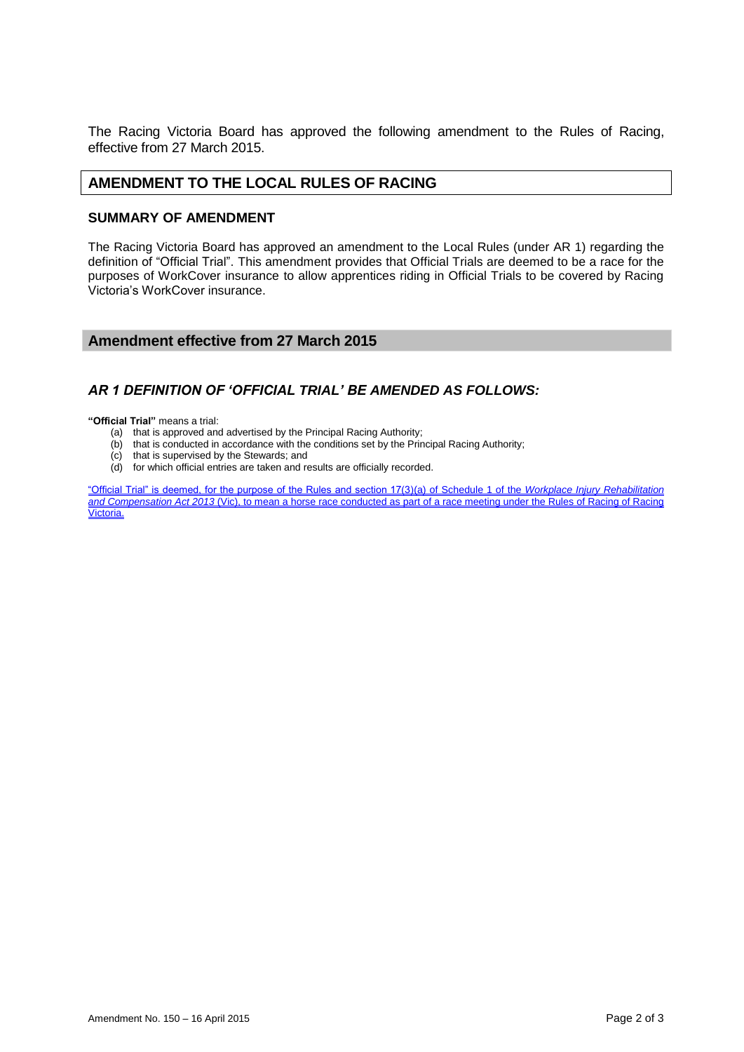The Racing Victoria Board has approved the following amendment to the Rules of Racing, effective from 27 March 2015.

# **AMENDMENT TO THE LOCAL RULES OF RACING**

#### **SUMMARY OF AMENDMENT**

The Racing Victoria Board has approved an amendment to the Local Rules (under AR 1) regarding the definition of "Official Trial". This amendment provides that Official Trials are deemed to be a race for the purposes of WorkCover insurance to allow apprentices riding in Official Trials to be covered by Racing Victoria's WorkCover insurance.

#### **Amendment effective from 27 March 2015**

# *AR 1 DEFINITION OF 'OFFICIAL TRIAL' BE AMENDED AS FOLLOWS:*

**"Official Trial"** means a trial:

- (a) that is approved and advertised by the Principal Racing Authority;
- (b) that is conducted in accordance with the conditions set by the Principal Racing Authority; (c) that is supervised by the Stewards; and
- that is supervised by the Stewards; and
- (d) for which official entries are taken and results are officially recorded.

"Official Trial" is deemed, for the purpose of the Rules and section 17(3)(a) of Schedule 1 of the *Workplace Injury Rehabilitation and Compensation Act 2013* (Vic), to mean a horse race conducted as part of a race meeting under the Rules of Racing of Racing Victoria.